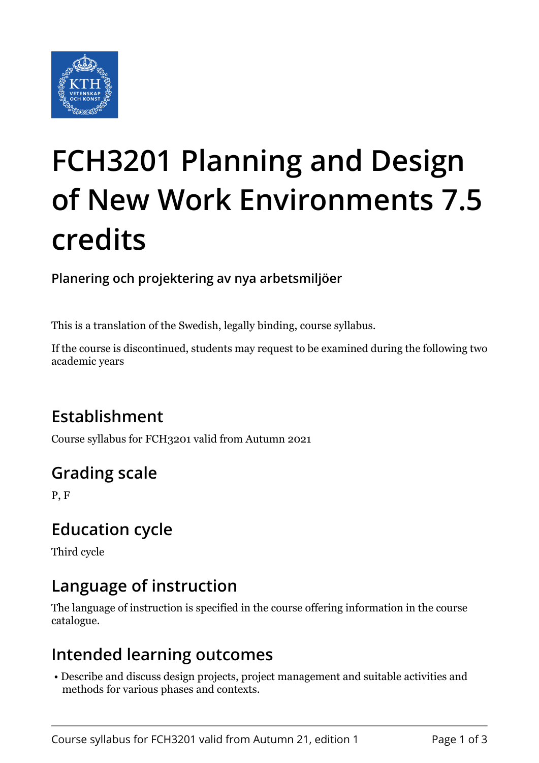

# **FCH3201 Planning and Design of New Work Environments 7.5 credits**

**Planering och projektering av nya arbetsmiljöer**

This is a translation of the Swedish, legally binding, course syllabus.

If the course is discontinued, students may request to be examined during the following two academic years

# **Establishment**

Course syllabus for FCH3201 valid from Autumn 2021

# **Grading scale**

P, F

## **Education cycle**

Third cycle

# **Language of instruction**

The language of instruction is specified in the course offering information in the course catalogue.

#### **Intended learning outcomes**

 • Describe and discuss design projects, project management and suitable activities and methods for various phases and contexts.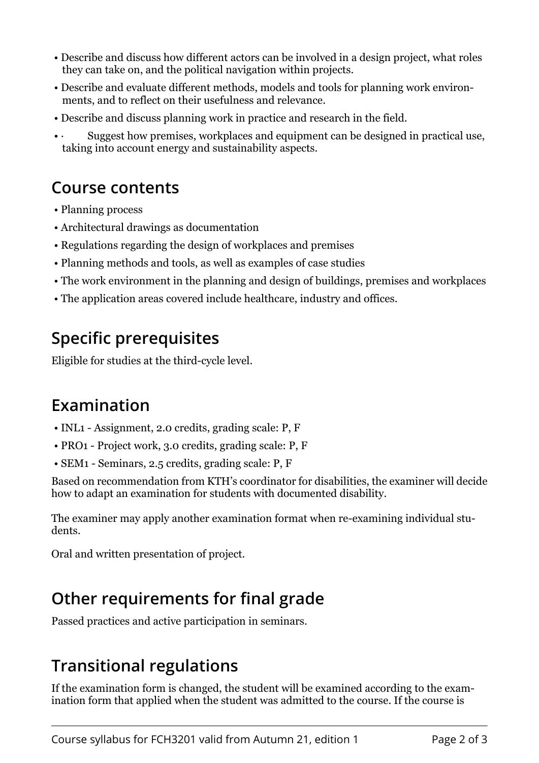- Describe and discuss how different actors can be involved in a design project, what roles they can take on, and the political navigation within projects.
- Describe and evaluate different methods, models and tools for planning work environments, and to reflect on their usefulness and relevance.
- Describe and discuss planning work in practice and research in the field.
- Suggest how premises, workplaces and equipment can be designed in practical use, taking into account energy and sustainability aspects.

#### **Course contents**

- Planning process
- Architectural drawings as documentation
- Regulations regarding the design of workplaces and premises
- Planning methods and tools, as well as examples of case studies
- The work environment in the planning and design of buildings, premises and workplaces
- The application areas covered include healthcare, industry and offices.

## **Specific prerequisites**

Rligible for studies at the third-cycle level.

## **Examination**

- $\bullet$  INL1 Assignment, 2.0 credits, grading scale: P, F
- $\cdot$  PRO1 Project work, 3.0 credits, grading scale: P, F
- $\bullet$  SEM1 Seminars, 2.5 credits, grading scale: P, F

Based on recommendation from KTH's coordinator for disabilities, the examiner will decide how to adapt an examination for students with documented disability.

The examiner may apply another examination format when re-examining individual students.

Oral and written presentation of project.

## **Other requirements for final grade**

Passed practices and active participation in seminars.

## **Transitional regulations**

If the examination form is changed, the student will be examined according to the examination form that applied when the student was admitted to the course. If the course is